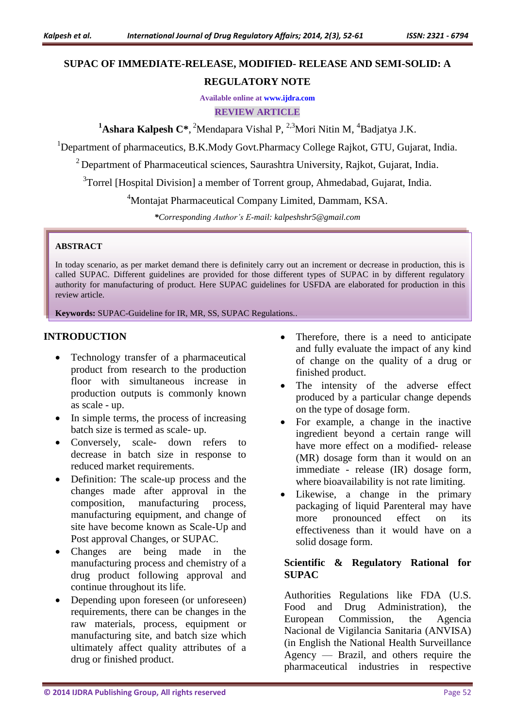# **SUPAC OF IMMEDIATE-RELEASE, MODIFIED- RELEASE AND SEMI-SOLID: A**

# **REGULATORY NOTE**

**Available online at [www.ijdra.com](http://www.ijdra.com/)**

**REVIEW ARTICLE**

<sup>1</sup>Ashara Kalpesh C<sup>\*</sup>, <sup>2</sup>Mendapara Vishal P, <sup>2,3</sup>Mori Nitin M, <sup>4</sup>Badjatya J.K.

<sup>1</sup>Department of pharmaceutics, B.K.Mody Govt.Pharmacy College Rajkot, GTU, Gujarat, India.

<sup>2</sup> Department of Pharmaceutical sciences, Saurashtra University, Rajkot, Gujarat, India.

<sup>3</sup>Torrel [Hospital Division] a member of Torrent group, Ahmedabad, Gujarat, India.

<sup>4</sup>Montajat Pharmaceutical Company Limited, Dammam, KSA.

*\*Corresponding Author's E-mail: kalpeshshr5@gmail.com*

#### **ABSTRACT**

In today scenario, as per market demand there is definitely carry out an increment or decrease in production, this is called SUPAC. Different guidelines are provided for those different types of SUPAC in by different regulatory authority for manufacturing of product. Here SUPAC guidelines for USFDA are elaborated for production in this review article.

**Keywords:** SUPAC-Guideline for IR, MR, SS, SUPAC Regulations..

## **INTRODUCTION**

- Technology transfer of a pharmaceutical product from research to the production floor with simultaneous increase in production outputs is commonly known as scale - up.
- In simple terms, the process of increasing batch size is termed as scale- up.
- Conversely, scale- down refers to decrease in batch size in response to reduced market requirements.
- Definition: The scale-up process and the changes made after approval in the composition, manufacturing process, manufacturing equipment, and change of site have become known as Scale-Up and Post approval Changes, or SUPAC.
- Changes are being made in the manufacturing process and chemistry of a drug product following approval and continue throughout its life.
- Depending upon foreseen (or unforeseen) requirements, there can be changes in the raw materials, process, equipment or manufacturing site, and batch size which ultimately affect quality attributes of a drug or finished product.
- Therefore, there is a need to anticipate and fully evaluate the impact of any kind of change on the quality of a drug or finished product.
- The intensity of the adverse effect produced by a particular change depends on the type of dosage form.
- For example, a change in the inactive ingredient beyond a certain range will have more effect on a modified- release (MR) dosage form than it would on an immediate - release (IR) dosage form, where bioavailability is not rate limiting.
- Likewise, a change in the primary packaging of liquid Parenteral may have more pronounced effect on its effectiveness than it would have on a solid dosage form.

# **Scientific & Regulatory Rational for SUPAC**

Authorities Regulations like FDA (U.S. Food and Drug Administration), the European Commission, the Agencia Nacional de Vigilancia Sanitaria (ANVISA) (in English the National Health Surveillance Agency — Brazil, and others require the pharmaceutical industries in respective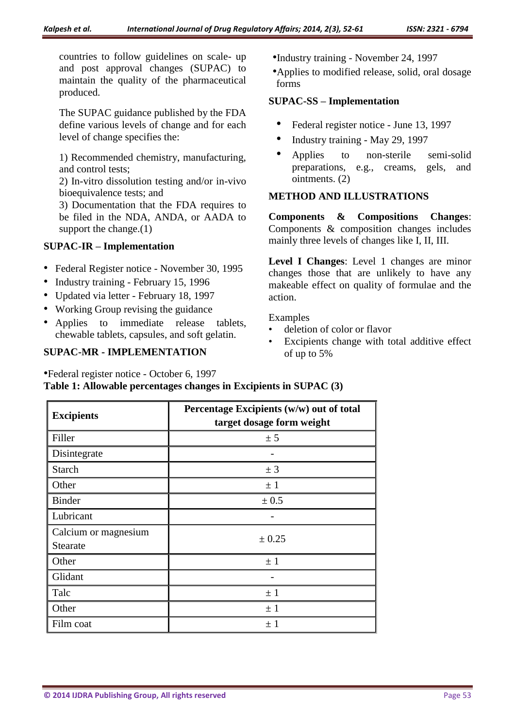countries to follow guidelines on scale- up and post approval changes (SUPAC) to maintain the quality of the pharmaceutical produced.

The SUPAC guidance published by the FDA define various levels of change and for each level of change specifies the:

1) Recommended chemistry, manufacturing, and control tests;

2) In-vitro dissolution testing and/or in-vivo bioequivalence tests; and

3) Documentation that the FDA requires to be filed in the NDA, ANDA, or AADA to support the change.(1)

## **SUPAC-IR – Implementation**

- Federal Register notice November 30, 1995
- Industry training February 15, 1996
- Updated via letter February 18, 1997
- Working Group revising the guidance
- Applies to immediate release tablets, chewable tablets, capsules, and soft gelatin.

#### **SUPAC-MR - IMPLEMENTATION**

•Federal register notice - October 6, 1997

- •Industry training November 24, 1997
- •Applies to modified release, solid, oral dosage forms

#### **SUPAC-SS – Implementation**

- Federal register notice June 13, 1997
- Industry training May 29, 1997
- Applies to non-sterile semi-solid preparations, e.g., creams, gels, and ointments. (2)

## **METHOD AND ILLUSTRATIONS**

**Components & Compositions Changes**: Components & composition changes includes mainly three levels of changes like I, II, III.

**Level I Changes**: Level 1 changes are minor changes those that are unlikely to have any makeable effect on quality of formulae and the action.

Examples

- deletion of color or flavor
- Excipients change with total additive effect of up to 5%

| <b>Excipients</b>                | Percentage Excipients (w/w) out of total<br>target dosage form weight |
|----------------------------------|-----------------------------------------------------------------------|
| Filler                           | ± 5                                                                   |
| Disintegrate                     |                                                                       |
| <b>Starch</b>                    | ± 3                                                                   |
| Other                            | $\pm$ 1                                                               |
| <b>Binder</b>                    | ± 0.5                                                                 |
| Lubricant                        |                                                                       |
| Calcium or magnesium<br>Stearate | ± 0.25                                                                |
| Other                            | $\pm$ 1                                                               |
| Glidant                          |                                                                       |
| Talc                             | $\pm$ 1                                                               |
| Other                            | $\pm$ 1                                                               |
| Film coat                        | $\pm$ 1                                                               |

**Table 1: Allowable percentages changes in Excipients in SUPAC (3)**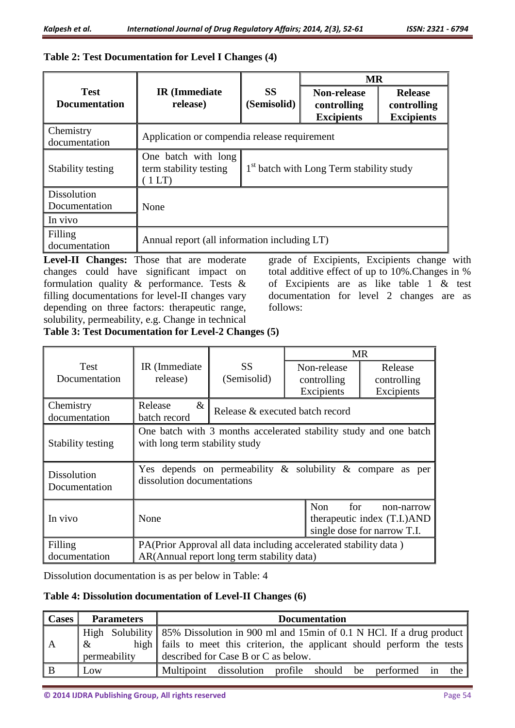|                                     |                                                      |                                                      | <b>MR</b>                                              |                                                    |  |
|-------------------------------------|------------------------------------------------------|------------------------------------------------------|--------------------------------------------------------|----------------------------------------------------|--|
| <b>Test</b><br><b>Documentation</b> | <b>IR</b> (Immediate<br>release)                     | <b>SS</b><br>(Semisolid)                             | <b>Non-release</b><br>controlling<br><b>Excipients</b> | <b>Release</b><br>controlling<br><b>Excipients</b> |  |
| Chemistry<br>documentation          | Application or compendia release requirement         |                                                      |                                                        |                                                    |  |
| Stability testing                   | One batch with long<br>term stability testing<br>1LT | 1 <sup>st</sup> batch with Long Term stability study |                                                        |                                                    |  |
| <b>Dissolution</b><br>Documentation | None                                                 |                                                      |                                                        |                                                    |  |
| In vivo                             |                                                      |                                                      |                                                        |                                                    |  |
| Filling<br>documentation            | Annual report (all information including LT)         |                                                      |                                                        |                                                    |  |

## **Table 2: Test Documentation for Level I Changes (4)**

**Level-II Changes:** Those that are moderate changes could have significant impact on formulation quality & performance. Tests & filling documentations for level-II changes vary depending on three factors: therapeutic range, solubility, permeability, e.g. Change in technical

grade of Excipients, Excipients change with total additive effect of up to 10%.Changes in % of Excipients are as like table 1 & test documentation for level 2 changes are as follows:

**Table 3: Test Documentation for Level-2 Changes (5)**

|                                     |                                                                                                                |                                 |                                          | <b>MR</b>                                                                |  |  |
|-------------------------------------|----------------------------------------------------------------------------------------------------------------|---------------------------------|------------------------------------------|--------------------------------------------------------------------------|--|--|
| Test<br>Documentation               | IR (Immediate)<br>release)                                                                                     | <b>SS</b><br>(Semisolid)        | Non-release<br>controlling<br>Excipients | Release<br>controlling<br>Excipients                                     |  |  |
| Chemistry<br>documentation          | Release<br>$\&$<br>batch record                                                                                | Release & executed batch record |                                          |                                                                          |  |  |
| Stability testing                   | One batch with 3 months accelerated stability study and one batch<br>with long term stability study            |                                 |                                          |                                                                          |  |  |
| <b>Dissolution</b><br>Documentation | Yes depends on permeability $\&$ solubility $\&$ compare<br>as<br>per<br>dissolution documentations            |                                 |                                          |                                                                          |  |  |
| In vivo                             | None                                                                                                           |                                 | <b>Non</b><br>for                        | non-narrow<br>therapeutic index (T.I.)AND<br>single dose for narrow T.I. |  |  |
| Filling<br>documentation            | PA(Prior Approval all data including accelerated stability data)<br>AR(Annual report long term stability data) |                                 |                                          |                                                                          |  |  |

Dissolution documentation is as per below in Table: 4

## **Table 4: Dissolution documentation of Level-II Changes (6)**

| Cases | <b>Parameters</b> | <b>Documentation</b>                                                                  |  |  |  |  |  |
|-------|-------------------|---------------------------------------------------------------------------------------|--|--|--|--|--|
|       |                   | High Solubility   85% Dissolution in 900 ml and 15min of 0.1 N HCl. If a drug product |  |  |  |  |  |
| l A   | $\mathbf{R}$      | high fails to meet this criterion, the applicant should perform the tests             |  |  |  |  |  |
|       | permeability      | described for Case B or C as below.                                                   |  |  |  |  |  |
| B     | $\vert$ Low       | Multipoint dissolution profile should be performed in<br>the                          |  |  |  |  |  |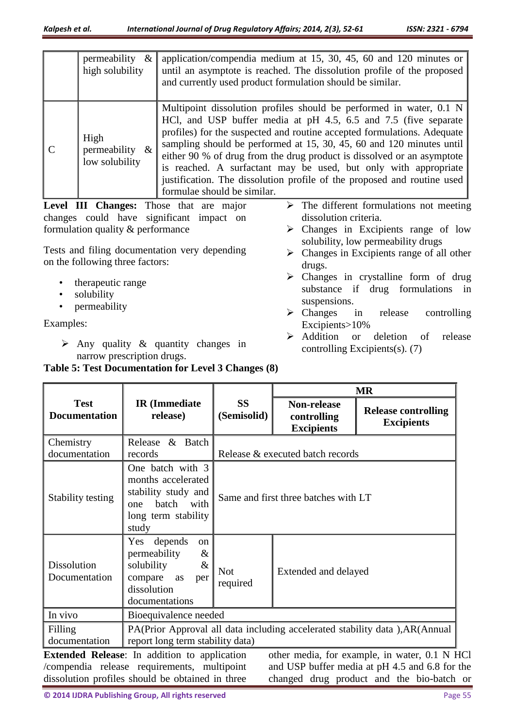|                                                                                            | permeability<br>$\&$<br>high solubility     | application/compendia medium at $15$ , $30$ , $45$ , $60$ and $120$ minutes or<br>until an asymptote is reached. The dissolution profile of the proposed<br>and currently used product formulation should be similar.                                                                                                                                                                                                                                                                                                                            |  |  |
|--------------------------------------------------------------------------------------------|---------------------------------------------|--------------------------------------------------------------------------------------------------------------------------------------------------------------------------------------------------------------------------------------------------------------------------------------------------------------------------------------------------------------------------------------------------------------------------------------------------------------------------------------------------------------------------------------------------|--|--|
|                                                                                            | High<br>permeability $\&$<br>low solubility | Multipoint dissolution profiles should be performed in water, 0.1 N<br>HCl, and USP buffer media at pH 4.5, 6.5 and 7.5 (five separate<br>profiles) for the suspected and routine accepted formulations. Adequate<br>sampling should be performed at 15, 30, 45, 60 and 120 minutes until<br>either 90 % of drug from the drug product is dissolved or an asymptote<br>is reached. A surfactant may be used, but only with appropriate<br>justification. The dissolution profile of the proposed and routine used<br>formulae should be similar. |  |  |
| The different formulations not meeting<br><b>Changes:</b> Those that are<br>Level<br>maior |                                             |                                                                                                                                                                                                                                                                                                                                                                                                                                                                                                                                                  |  |  |

**Level III Changes:** Those that are major changes could have significant impact on formulation quality & performance

Tests and filing documentation very depending on the following three factors:

- therapeutic range
- solubility
- permeability

Examples:

 $\triangleright$  Any quality & quantity changes in narrow prescription drugs.

- dissolution criteria.  $\triangleright$  Changes in Excipients range of low solubility, low permeability drugs
- $\triangleright$  Changes in Excipients range of all other drugs.
- Changes in crystalline form of drug substance if drug formulations in suspensions.
- > Changes in release controlling Excipients>10%
- Addition or deletion of release controlling Excipients(s). (7)

|                                     |                                                                                                                                                 |                                  |                                                 | <b>MR</b>                                                                                                                                    |  |
|-------------------------------------|-------------------------------------------------------------------------------------------------------------------------------------------------|----------------------------------|-------------------------------------------------|----------------------------------------------------------------------------------------------------------------------------------------------|--|
| <b>Test</b><br><b>Documentation</b> | <b>IR</b> (Immediate<br>release)                                                                                                                | <b>SS</b><br>(Semisolid)         | Non-release<br>controlling<br><b>Excipients</b> | <b>Release controlling</b><br><b>Excipients</b>                                                                                              |  |
| Chemistry<br>documentation          | & Batch<br>Release<br>records                                                                                                                   | Release & executed batch records |                                                 |                                                                                                                                              |  |
| Stability testing                   | One batch with 3<br>months accelerated<br>stability study and<br>batch<br>with<br>one<br>long term stability<br>study                           |                                  | Same and first three batches with LT            |                                                                                                                                              |  |
| <b>Dissolution</b><br>Documentation | depends<br>Yes<br><sub>on</sub><br>permeability<br>$\&$<br>$\&$<br>solubility<br>compare<br>as<br>per<br>dissolution<br>documentations          | <b>Not</b><br>required           | Extended and delayed                            |                                                                                                                                              |  |
| In vivo                             | Bioequivalence needed                                                                                                                           |                                  |                                                 |                                                                                                                                              |  |
| Filling<br>documentation            | PA(Prior Approval all data including accelerated stability data), AR(Annual<br>report long term stability data)                                 |                                  |                                                 |                                                                                                                                              |  |
|                                     | Extended Release: In addition to application<br>/compendia release requirements, multipoint<br>dissolution profiles should be obtained in three |                                  |                                                 | other media, for example, in water, 0.1 N HCl<br>and USP buffer media at pH 4.5 and 6.8 for the<br>changed drug product and the bio-batch or |  |

**Table 5: Test Documentation for Level 3 Changes (8)**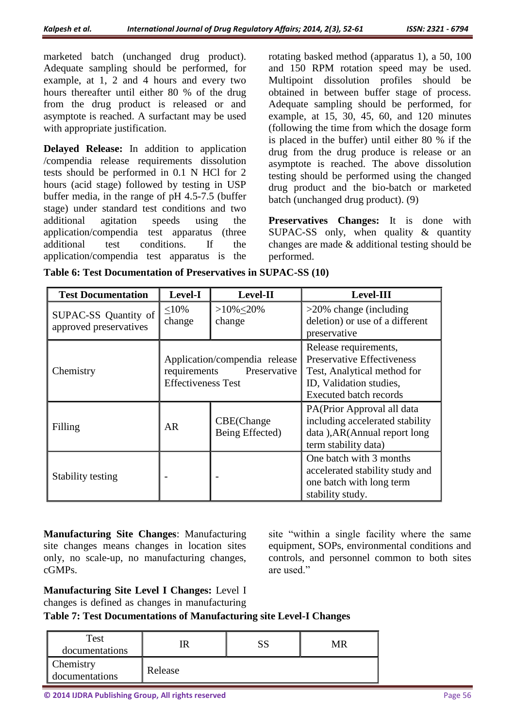marketed batch (unchanged drug product). Adequate sampling should be performed, for example, at 1, 2 and 4 hours and every two hours thereafter until either 80 % of the drug from the drug product is released or and asymptote is reached. A surfactant may be used with appropriate justification.

**Delayed Release:** In addition to application /compendia release requirements dissolution tests should be performed in 0.1 N HCl for 2 hours (acid stage) followed by testing in USP buffer media, in the range of pH 4.5-7.5 (buffer stage) under standard test conditions and two additional agitation speeds using the application/compendia test apparatus (three additional test conditions. If the application/compendia test apparatus is the

rotating basked method (apparatus 1), a 50, 100 and 150 RPM rotation speed may be used. Multipoint dissolution profiles should be obtained in between buffer stage of process. Adequate sampling should be performed, for example, at 15, 30, 45, 60, and 120 minutes (following the time from which the dosage form is placed in the buffer) until either 80 % if the drug from the drug produce is release or an asymptote is reached. The above dissolution testing should be performed using the changed drug product and the bio-batch or marketed batch (unchanged drug product). (9)

**Preservatives Changes:** It is done with SUPAC-SS only, when quality & quantity changes are made & additional testing should be performed.

| <b>Test Documentation</b>                             | Level-I                                           | Level-II                                                                                                              | <b>Level-III</b>                                                                                                                                      |
|-------------------------------------------------------|---------------------------------------------------|-----------------------------------------------------------------------------------------------------------------------|-------------------------------------------------------------------------------------------------------------------------------------------------------|
| SUPAC-SS Quantity of<br>approved preservatives        | $>10\% < 20\%$<br>$\leq 10\%$<br>change<br>change |                                                                                                                       | $>20\%$ change (including<br>deletion) or use of a different<br>preservative                                                                          |
| Chemistry                                             | requirements<br><b>Effectiveness Test</b>         | Application/compendia release<br>Preservative                                                                         | Release requirements,<br><b>Preservative Effectiveness</b><br>Test, Analytical method for<br>ID, Validation studies,<br><b>Executed batch records</b> |
| CBE(Change<br>Filling<br><b>AR</b><br>Being Effected) |                                                   | PA(Prior Approval all data<br>including accelerated stability<br>data), AR(Annual report long<br>term stability data) |                                                                                                                                                       |
| Stability testing                                     |                                                   |                                                                                                                       | One batch with 3 months<br>accelerated stability study and<br>one batch with long term<br>stability study.                                            |

**Table 6: Test Documentation of Preservatives in SUPAC-SS (10)**

**Manufacturing Site Changes**: Manufacturing site changes means changes in location sites only, no scale-up, no manufacturing changes, cGMPs.

site "within a single facility where the same equipment, SOPs, environmental conditions and controls, and personnel common to both sites are used."

**Manufacturing Site Level I Changes:** Level I changes is defined as changes in manufacturing

**Table 7: Test Documentations of Manufacturing site Level-I Changes**

| Test<br>documentations      |         | MR |
|-----------------------------|---------|----|
| Chemistry<br>documentations | Release |    |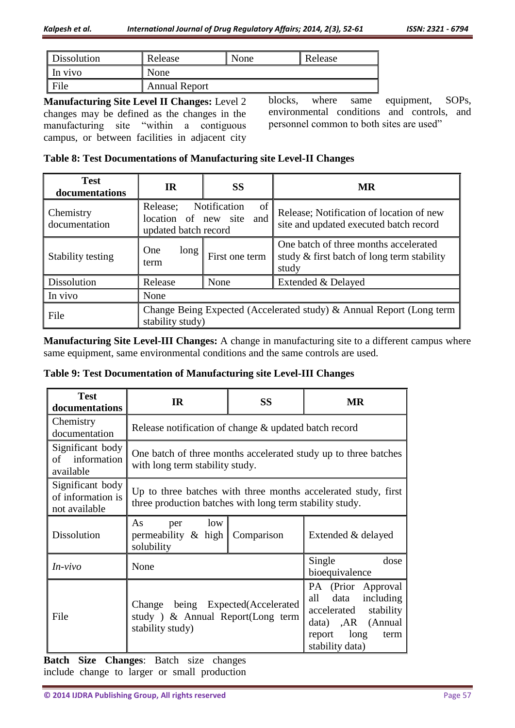| Dissolution     | Release              | None | Release |
|-----------------|----------------------|------|---------|
| In vivo         | None                 |      |         |
| $\mathsf{File}$ | <b>Annual Report</b> |      |         |

**Manufacturing Site Level II Changes:** Level 2 changes may be defined as the changes in the manufacturing site "within a contiguous campus, or between facilities in adjacent city

blocks, where same equipment, SOPs, environmental conditions and controls, and personnel common to both sites are used"

|  | Table 8: Test Documentations of Manufacturing site Level-II Changes |  |  |  |
|--|---------------------------------------------------------------------|--|--|--|
|  |                                                                     |  |  |  |

| <b>Test</b><br>documentations     | <b>SS</b><br><b>IR</b>                                                                   |                           | <b>MR</b>                                                                                    |  |  |
|-----------------------------------|------------------------------------------------------------------------------------------|---------------------------|----------------------------------------------------------------------------------------------|--|--|
| <b>Chemistry</b><br>documentation | Release;<br>location of new site<br>updated batch record                                 | Notification<br>of<br>and | Release; Notification of location of new<br>site and updated executed batch record           |  |  |
| Stability testing                 | One<br>long<br>term                                                                      | First one term            | One batch of three months accelerated<br>study & first batch of long term stability<br>study |  |  |
| Dissolution                       | Release                                                                                  | None                      | Extended & Delayed                                                                           |  |  |
| In vivo                           | None                                                                                     |                           |                                                                                              |  |  |
| File                              | Change Being Expected (Accelerated study) & Annual Report (Long term<br>stability study) |                           |                                                                                              |  |  |

**Manufacturing Site Level-III Changes:** A change in manufacturing site to a different campus where same equipment, same environmental conditions and the same controls are used.

| Table 9: Test Documentation of Manufacturing site Level-III Changes |  |  |
|---------------------------------------------------------------------|--|--|
|---------------------------------------------------------------------|--|--|

| <b>Test</b><br>documentations                          | <b>IR</b>                                                                                                                  | <b>SS</b>  | <b>MR</b>                                                                                                                     |
|--------------------------------------------------------|----------------------------------------------------------------------------------------------------------------------------|------------|-------------------------------------------------------------------------------------------------------------------------------|
| Chemistry<br>documentation                             | Release notification of change & updated batch record                                                                      |            |                                                                                                                               |
| Significant body<br>information<br>οf<br>available     | One batch of three months accelerated study up to three batches<br>with long term stability study.                         |            |                                                                                                                               |
| Significant body<br>of information is<br>not available | Up to three batches with three months accelerated study, first<br>three production batches with long term stability study. |            |                                                                                                                               |
| <b>Dissolution</b>                                     | As<br>low<br>per<br>permeability & high<br>solubility                                                                      | Comparison | Extended & delayed                                                                                                            |
| $In-vivo$                                              | None                                                                                                                       |            | Single<br>dose<br>bioequivalence                                                                                              |
| File                                                   | Change being Expected(Accelerated<br>study) & Annual Report(Long term<br>stability study)                                  |            | PA (Prior Approval<br>all data including<br>accelerated stability<br>data) ,AR (Annual<br>report long term<br>stability data) |

**Batch Size Changes**: Batch size changes include change to larger or small production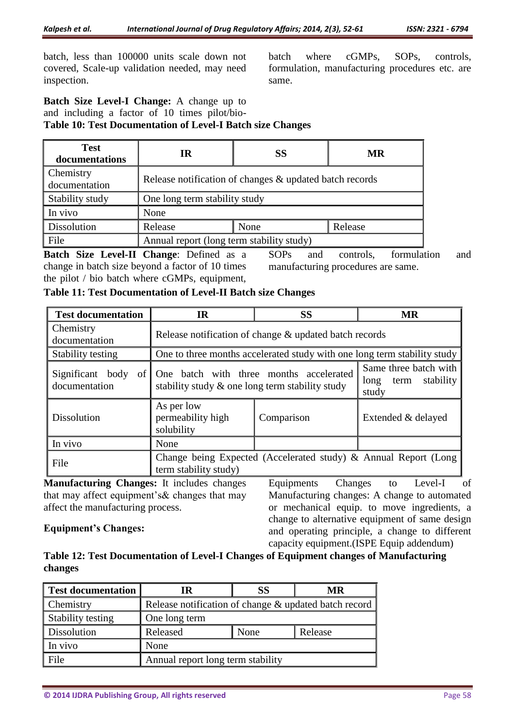batch, less than 100000 units scale down not covered, Scale-up validation needed, may need inspection.

batch where cGMPs, SOPs, controls, formulation, manufacturing procedures etc. are same.

**Batch Size Level-I Change:** A change up to and including a factor of 10 times pilot/bio-**Table 10: Test Documentation of Level-I Batch size Changes**

| <b>Test</b><br>documentations     | <b>SS</b><br>IR                                         |  | <b>MR</b> |  |
|-----------------------------------|---------------------------------------------------------|--|-----------|--|
| <b>Chemistry</b><br>documentation | Release notification of changes & updated batch records |  |           |  |
| Stability study                   | One long term stability study                           |  |           |  |
| $\ln$ vivo                        | None                                                    |  |           |  |
| Dissolution                       | Release<br>Release<br>None                              |  |           |  |
| File                              | Annual report (long term stability study)               |  |           |  |

**Batch Size Level-II Change**: Defined as a change in batch size beyond a factor of 10 times the pilot / bio batch where cGMPs, equipment,

SOPs and controls, formulation and manufacturing procedures are same.

| <b>Test documentation</b>                                                                  | IR                                                                                                             | <b>MR</b>                                                                |                    |  |
|--------------------------------------------------------------------------------------------|----------------------------------------------------------------------------------------------------------------|--------------------------------------------------------------------------|--------------------|--|
| Chemistry<br>documentation                                                                 | Release notification of change & updated batch records                                                         |                                                                          |                    |  |
| Stability testing                                                                          |                                                                                                                | One to three months accelerated study with one long term stability study |                    |  |
| documentation                                                                              | Significant body of One batch with three months accelerated<br>stability study & one long term stability study | Same three batch with<br>stability<br>long<br>term<br>study              |                    |  |
| <b>Dissolution</b>                                                                         | As per low<br>permeability high<br>solubility                                                                  | Comparison                                                               | Extended & delayed |  |
| In vivo                                                                                    | None                                                                                                           |                                                                          |                    |  |
| File                                                                                       | Change being Expected (Accelerated study) & Annual Report (Long<br>term stability study)                       |                                                                          |                    |  |
| Manufacturing Changes: It includes changes<br>of<br>Changes<br>Equipments<br>Level-I<br>to |                                                                                                                |                                                                          |                    |  |

**Table 11: Test Documentation of Level-II Batch size Changes** 

**Manufacturing Changes:** It includes changes that may affect equipment's& changes that may affect the manufacturing process.

# **Equipment's Changes:**

Manufacturing changes: A change to automated or mechanical equip. to move ingredients, a change to alternative equipment of same design and operating principle, a change to different capacity equipment.(ISPE Equip addendum)

**Table 12: Test Documentation of Level-I Changes of Equipment changes of Manufacturing changes**

| Test documentation | IR                                                    | SS   | MR      |
|--------------------|-------------------------------------------------------|------|---------|
| <b>Chemistry</b>   | Release notification of change & updated batch record |      |         |
| Stability testing  | One long term                                         |      |         |
| Dissolution        | Released                                              | None | Release |
| In vivo            | None                                                  |      |         |
| File               | Annual report long term stability                     |      |         |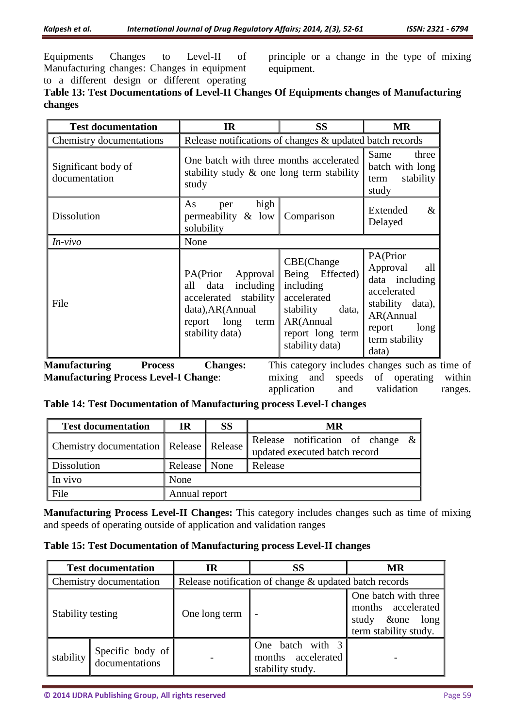Equipments Changes to Level-II of Manufacturing changes: Changes in equipment to a different design or different operating

principle or a change in the type of mixing equipment.

# **Table 13: Test Documentations of Level-II Changes Of Equipments changes of Manufacturing changes**

| <b>Test documentation</b>            | <b>IR</b>                                                                                                                               | <b>SS</b>                                                                                                                           | <b>MR</b>                                                                                                                                  |
|--------------------------------------|-----------------------------------------------------------------------------------------------------------------------------------------|-------------------------------------------------------------------------------------------------------------------------------------|--------------------------------------------------------------------------------------------------------------------------------------------|
| Chemistry documentations             | Release notifications of changes & updated batch records                                                                                |                                                                                                                                     |                                                                                                                                            |
| Significant body of<br>documentation | One batch with three months accelerated<br>stability study $\&$ one long term stability<br>study                                        | Same<br>three<br>batch with long<br>stability<br>term<br>study                                                                      |                                                                                                                                            |
| <b>Dissolution</b>                   | high<br>As<br>per<br>permeability $\&$ low<br>solubility                                                                                | Comparison                                                                                                                          | $\&$<br>Extended<br>Delayed                                                                                                                |
| In-vivo                              | None                                                                                                                                    |                                                                                                                                     |                                                                                                                                            |
| File                                 | PA(Prior<br>Approval<br>including<br>data<br>all<br>accelerated stability<br>data), AR(Annual<br>report long<br>term<br>stability data) | CBE(Change<br>Being Effected)<br>including<br>accelerated<br>stability<br>data,<br>AR(Annual<br>report long term<br>stability data) | PA(Prior<br>Approval<br>all<br>data including<br>accelerated<br>stability data),<br>AR(Annual<br>report<br>long<br>term stability<br>data) |
| Manufacturing<br><b>Process</b>      | <b>Changes:</b>                                                                                                                         | This category includes changes such as t                                                                                            |                                                                                                                                            |

**Manufacturing Process Level-I Change**:

ime of mixing and speeds of operating within application and validation ranges.

## **Table 14: Test Documentation of Manufacturing process Level-I changes**

| <b>Test documentation</b>                          | IR             | <b>SS</b> | MR                                                                   |  |  |  |  |
|----------------------------------------------------|----------------|-----------|----------------------------------------------------------------------|--|--|--|--|
| <b>Chemistry documentation   Release   Release</b> |                |           | Release notification of change $\&$<br>updated executed batch record |  |  |  |  |
| Dissolution                                        | Release   None |           | Release                                                              |  |  |  |  |
| $\ln$ vivo                                         | None           |           |                                                                      |  |  |  |  |
| File                                               | Annual report  |           |                                                                      |  |  |  |  |

**Manufacturing Process Level-II Changes:** This category includes changes such as time of mixing and speeds of operating outside of application and validation ranges

## **Table 15: Test Documentation of Manufacturing process Level-II changes**

| <b>Test documentation</b> |                                    | IR                                                     | SS                                                         | <b>MR</b>                                                                               |  |
|---------------------------|------------------------------------|--------------------------------------------------------|------------------------------------------------------------|-----------------------------------------------------------------------------------------|--|
| Chemistry documentation   |                                    | Release notification of change & updated batch records |                                                            |                                                                                         |  |
| Stability testing         |                                    | One long term                                          |                                                            | One batch with three<br>months accelerated<br>study & one long<br>term stability study. |  |
| stability                 | Specific body of<br>documentations |                                                        | One batch with 3<br>months accelerated<br>stability study. |                                                                                         |  |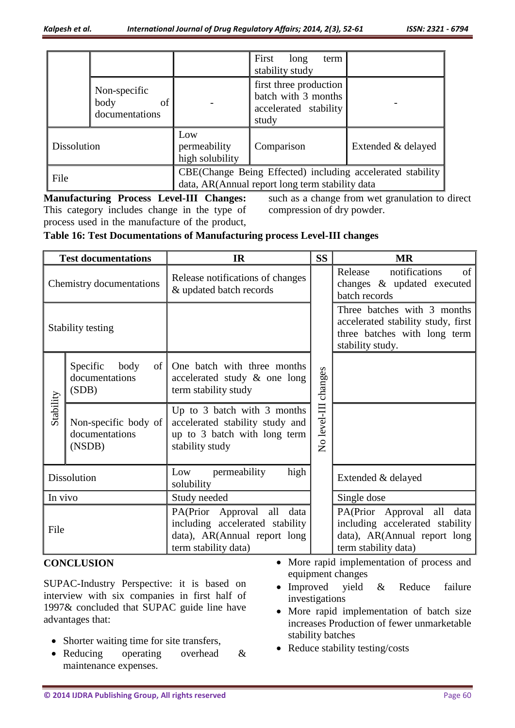|             |                                              |                                                                                                               | First<br>term<br>long<br>stability study                                        |  |
|-------------|----------------------------------------------|---------------------------------------------------------------------------------------------------------------|---------------------------------------------------------------------------------|--|
|             | Non-specific<br>of<br>body<br>documentations |                                                                                                               | first three production<br>batch with 3 months<br>accelerated stability<br>study |  |
| Dissolution |                                              | Low<br>permeability<br>high solubility                                                                        | Comparison<br>Extended & delayed                                                |  |
| File        |                                              | CBE(Change Being Effected) including accelerated stability<br>data, AR(Annual report long term stability data |                                                                                 |  |

**Manufacturing Process Level-III Changes:**  This category includes change in the type of process used in the manufacture of the product,

such as a change from wet granulation to direct compression of dry powder.

## **Table 16: Test Documentations of Manufacturing process Level-III changes**

| <b>Test documentations</b> |                                                   | <b>IR</b>                                                                                                                      |  | <b>MR</b>                                                                                                                      |  |
|----------------------------|---------------------------------------------------|--------------------------------------------------------------------------------------------------------------------------------|--|--------------------------------------------------------------------------------------------------------------------------------|--|
| Chemistry documentations   |                                                   | Release notifications of changes<br>& updated batch records                                                                    |  | Release<br>notifications<br>of<br>changes & updated executed<br>batch records                                                  |  |
| Stability testing          |                                                   |                                                                                                                                |  | Three batches with 3 months<br>accelerated stability study, first<br>three batches with long term<br>stability study.          |  |
|                            | body<br>Specific<br>of<br>documentations<br>(SDB) | One batch with three months<br>accelerated study & one long<br>term stability study                                            |  |                                                                                                                                |  |
| Stability                  | Non-specific body of<br>documentations<br>(NSDB)  | Up to 3 batch with 3 months<br>accelerated stability study and<br>up to 3 batch with long term<br>stability study              |  |                                                                                                                                |  |
| <b>Dissolution</b>         |                                                   | permeability<br>high<br>Low<br>solubility                                                                                      |  | Extended & delayed                                                                                                             |  |
| In vivo                    |                                                   | Study needed                                                                                                                   |  | Single dose                                                                                                                    |  |
| File                       |                                                   | PA(Prior<br>Approval<br>all<br>data<br>including accelerated stability<br>data), AR(Annual report long<br>term stability data) |  | PA(Prior<br>Approval<br>all<br>data<br>including accelerated stability<br>data), AR(Annual report long<br>term stability data) |  |

## **CONCLUSION**

SUPAC-Industry Perspective: it is based on interview with six companies in first half of 1997& concluded that SUPAC guide line have advantages that:

- Shorter waiting time for site transfers,
- Reducing operating overhead & maintenance expenses.
- More rapid implementation of process and equipment changes
- Improved yield & Reduce failure investigations
- More rapid implementation of batch size increases Production of fewer unmarketable stability batches
- Reduce stability testing/costs